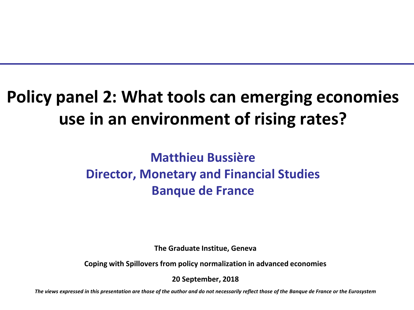# **Policy panel 2: What tools can emerging economies use in an environment of rising rates?**

### **Matthieu Bussière Director, Monetary and Financial Studies Banque de France**

**The Graduate Institue, Geneva** 

**Coping with Spillovers from policy normalization in advanced economies** 

**20 September, 2018** 

*The views expressed in this presentation are those of the author and do not necessarily reflect those of the Banque de France or the Eurosystem*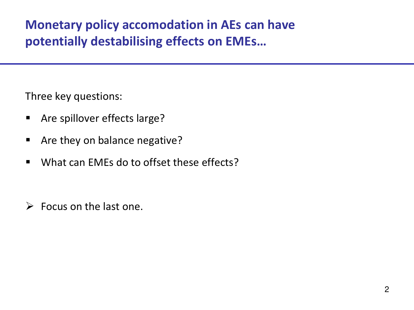### **Monetary policy accomodation in AEs can have potentially destabilising effects on EMEs…**

Three key questions:

- **Are spillover effects large?**
- Are they on balance negative?
- What can EMEs do to offset these effects?

 $\triangleright$  Focus on the last one.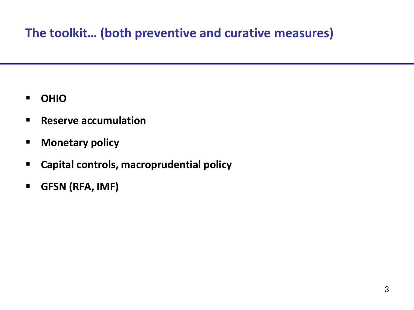# **The toolkit… (both preventive and curative measures)**

- **OHIO**
- **Reserve accumulation**
- **Monetary policy**
- **Capital controls, macroprudential policy**
- **GFSN (RFA, IMF)**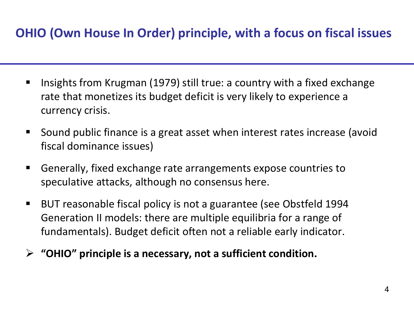### **OHIO (Own House In Order) principle, with a focus on fiscal issues**

- Insights from Krugman (1979) still true: a country with a fixed exchange rate that monetizes its budget deficit is very likely to experience a currency crisis.
- Sound public finance is a great asset when interest rates increase (avoid fiscal dominance issues)
- Generally, fixed exchange rate arrangements expose countries to speculative attacks, although no consensus here.
- BUT reasonable fiscal policy is not a guarantee (see Obstfeld 1994 Generation II models: there are multiple equilibria for a range of fundamentals). Budget deficit often not a reliable early indicator.
- **"OHIO" principle is a necessary, not a sufficient condition.**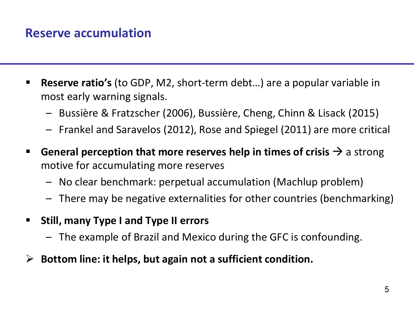### **Reserve accumulation**

- **Reserve ratio's** (to GDP, M2, short-term debt…) are a popular variable in most early warning signals.
	- Bussière & Fratzscher (2006), Bussière, Cheng, Chinn & Lisack (2015)
	- Frankel and Saravelos (2012), Rose and Spiegel (2011) are more critical
- **General perception that more reserves help in times of crisis**  $\rightarrow$  **a strong** motive for accumulating more reserves
	- No clear benchmark: perpetual accumulation (Machlup problem)
	- There may be negative externalities for other countries (benchmarking)
- **Still, many Type I and Type II errors** 
	- The example of Brazil and Mexico during the GFC is confounding.
- **Bottom line: it helps, but again not a sufficient condition.**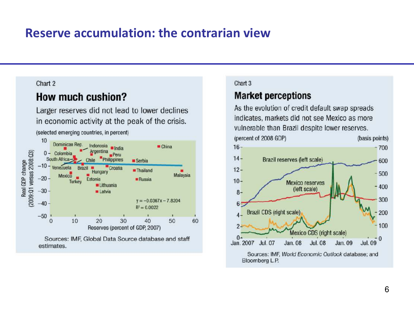### **Reserve accumulation: the contrarian view**

#### Chart 2

### How much cushion?

Larger reserves did not lead to lower declines in economic activity at the peak of the crisis.



#### Chart 3

### **Market perceptions**

As the evolution of credit default swap spreads indicates, markets did not see Mexico as more vulnerable than Brazil despite lower reserves.

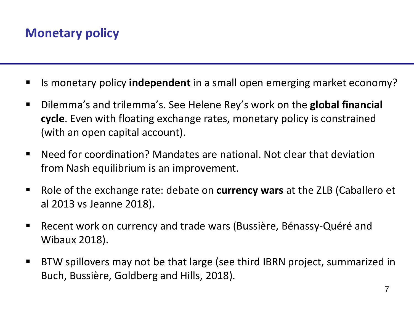# **Monetary policy**

- Is monetary policy **independent** in a small open emerging market economy?
- Dilemma's and trilemma's. See Helene Rey's work on the **global financial cycle**. Even with floating exchange rates, monetary policy is constrained (with an open capital account).
- Need for coordination? Mandates are national. Not clear that deviation from Nash equilibrium is an improvement.
- Role of the exchange rate: debate on **currency wars** at the ZLB (Caballero et al 2013 vs Jeanne 2018).
- Recent work on currency and trade wars (Bussière, Bénassy-Quéré and Wibaux 2018).
- BTW spillovers may not be that large (see third IBRN project, summarized in Buch, Bussière, Goldberg and Hills, 2018).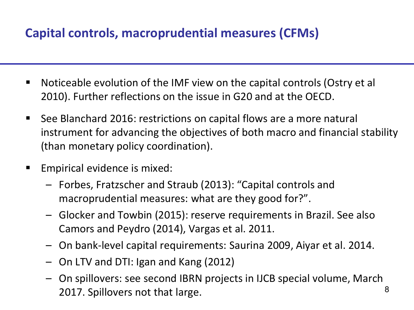### **Capital controls, macroprudential measures (CFMs)**

- Noticeable evolution of the IMF view on the capital controls (Ostry et al 2010). Further reflections on the issue in G20 and at the OECD.
- See Blanchard 2016: restrictions on capital flows are a more natural instrument for advancing the objectives of both macro and financial stability (than monetary policy coordination).
- $\blacksquare$  Empirical evidence is mixed:
	- Forbes, Fratzscher and Straub (2013): "Capital controls and macroprudential measures: what are they good for?".
	- Glocker and Towbin (2015): reserve requirements in Brazil. See also Camors and Peydro (2014), Vargas et al. 2011.
	- On bank-level capital requirements: Saurina 2009, Aiyar et al. 2014.
	- On LTV and DTI: Igan and Kang (2012)
	- On spillovers: see second IBRN projects in IJCB special volume, March 2017. Spillovers not that large. And the state of  $\frac{8}{3}$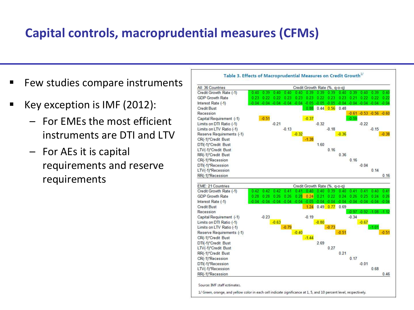### **Capital controls, macroprudential measures (CFMs)**

- Few studies compare instruments
- Key exception is IMF  $(2012)$ :
	- For EMEs the most efficient instruments are DTI and LTV
	- For AEs it is capital requirements and reserve requirements

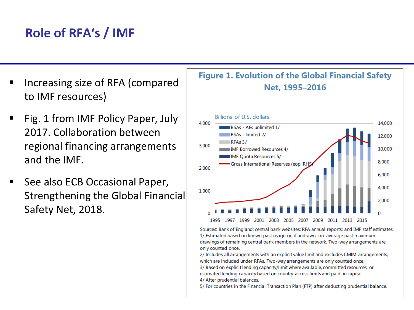# **Role of RFA's / IMF**

- Increasing size of RFA (compared to IMF resources)
- Fig. 1 from IMF Policy Paper, July 2017. Collaboration between regional financing arrangements and the IMF.
- See also ECB Occasional Paper, Strengthening the Global Financial Safety Net, 2018.



Sources: Bank of England; central bank websites; RFA annual reports; and IMF staff estimates. 1/ Estimated based on known past usage or, if undrawn, on average past maximum drawings of remaining central bank members in the network. Two-way arrangements are only counted once.

2/ Includes all arrangements with an explicit value limit and excludes CMIM arrangements, which are included under RFAs. Two-way arrangements are only counted once. 3/ Based on explicit lending capacity/limit where available, committed resources, or estimated lending capacity based on country access limits and paid-in capital. 4/ After prudential balances.

5/ For countries in the Financial Transaction Plan (FTP) after deducting prudential balance.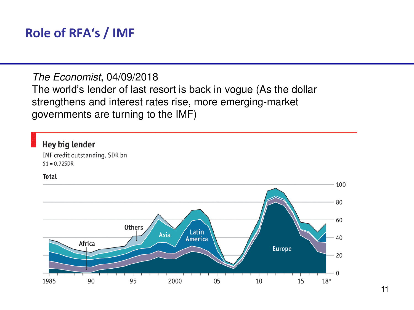### **Role of RFA's / IMF**

**Hey big lender** 

IMF credit outstanding, SDR bn

*The Economist*, 04/09/2018 The world's lender of last resort is back in vogue (As the dollar strengthens and interest rates rise, more emerging-market governments are turning to the IMF)